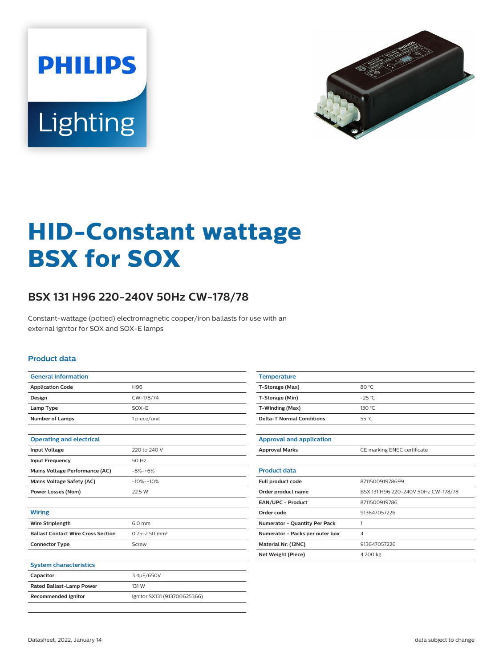



# **HID-Constant wattage BSX for SOX**

## **BSX 131 H96 220-240V 50Hz CW-178/78**

Constant-wattage (potted) electromagnetic copper/iron ballasts for use with an external ignitor for SOX and SOX-E lamps

#### **Product data**

| <b>General information</b>                |                               |  |  |  |  |
|-------------------------------------------|-------------------------------|--|--|--|--|
| <b>Application Code</b>                   | H96                           |  |  |  |  |
| Design                                    | CW-178/74                     |  |  |  |  |
| Lamp Type                                 | SOX-E                         |  |  |  |  |
| <b>Number of Lamps</b>                    | 1 piece/unit                  |  |  |  |  |
|                                           |                               |  |  |  |  |
| <b>Operating and electrical</b>           |                               |  |  |  |  |
| <b>Input Voltage</b>                      | 220 to 240 V                  |  |  |  |  |
| <b>Input Frequency</b>                    | 50 Hz                         |  |  |  |  |
| Mains Voltage Performance (AC)            | $-8% -+6%$                    |  |  |  |  |
| Mains Voltage Safety (AC)                 | $-10% + 10%$                  |  |  |  |  |
| Power Losses (Nom)                        | 22.5 W                        |  |  |  |  |
|                                           |                               |  |  |  |  |
| <b>Wiring</b>                             |                               |  |  |  |  |
| <b>Wire Striplength</b>                   | 6.0 mm                        |  |  |  |  |
| <b>Ballast Contact Wire Cross Section</b> | $0.75 - 2.50$ mm <sup>2</sup> |  |  |  |  |
| <b>Connector Type</b>                     | Screw                         |  |  |  |  |
|                                           |                               |  |  |  |  |
| <b>System characteristics</b>             |                               |  |  |  |  |
| Capacitor                                 | 3.4µF/650V                    |  |  |  |  |
| <b>Rated Ballast-Lamp Power</b>           | 131 W                         |  |  |  |  |
| <b>Recommended Ignitor</b>                | ignitor SX131 (913700625366)  |  |  |  |  |
|                                           |                               |  |  |  |  |

| <b>Temperature</b>                   |                                     |  |  |  |
|--------------------------------------|-------------------------------------|--|--|--|
| T-Storage (Max)                      | 80 °C                               |  |  |  |
| T-Storage (Min)                      | $-25^{\circ}$ C                     |  |  |  |
| T-Winding (Max)                      | 130 °C                              |  |  |  |
| <b>Delta-T Normal Conditions</b>     | 55 °C                               |  |  |  |
|                                      |                                     |  |  |  |
| <b>Approval and application</b>      |                                     |  |  |  |
| <b>Approval Marks</b>                | CE marking ENEC certificate         |  |  |  |
|                                      |                                     |  |  |  |
| <b>Product data</b>                  |                                     |  |  |  |
| Full product code                    | 871150091978699                     |  |  |  |
| Order product name                   | BSX 131 H96 220-240V 50Hz CW-178/78 |  |  |  |
| <b>EAN/UPC - Product</b>             | 8711500919786                       |  |  |  |
| Order code                           | 913647057226                        |  |  |  |
| <b>Numerator - Quantity Per Pack</b> | 1                                   |  |  |  |
| Numerator - Packs per outer box      | $\overline{4}$                      |  |  |  |
| Material Nr. (12NC)                  | 913647057226                        |  |  |  |
| Net Weight (Piece)                   | 4.200 kg                            |  |  |  |
|                                      |                                     |  |  |  |